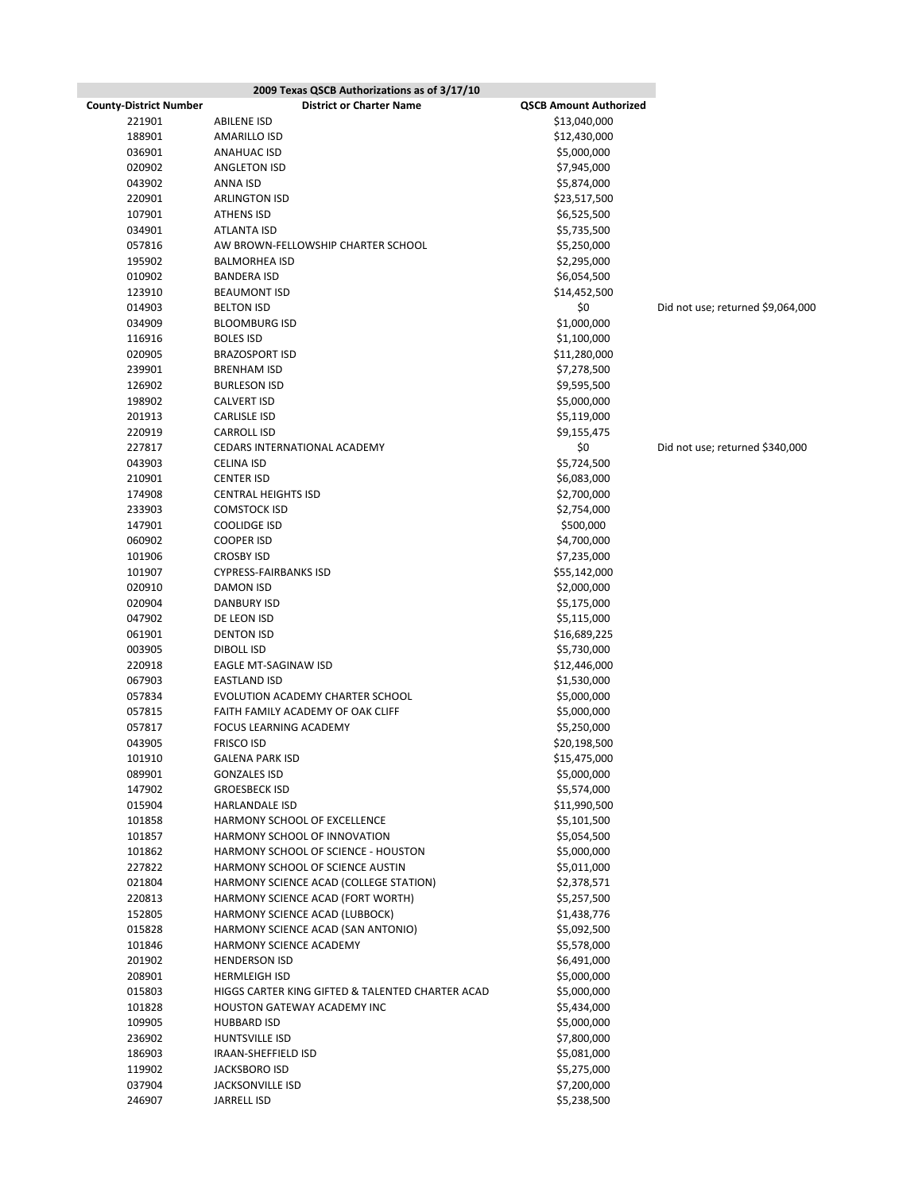| <b>County-District Number</b> | <b>District or Charter Name</b>                  | <b>QSCB Amount Authorized</b> |                                   |
|-------------------------------|--------------------------------------------------|-------------------------------|-----------------------------------|
| 221901                        | <b>ABILENE ISD</b>                               | \$13,040,000                  |                                   |
| 188901                        | <b>AMARILLO ISD</b>                              | \$12,430,000                  |                                   |
| 036901                        | <b>ANAHUAC ISD</b>                               | \$5,000,000                   |                                   |
| 020902                        | <b>ANGLETON ISD</b>                              | \$7,945,000                   |                                   |
| 043902                        | ANNA ISD                                         | \$5,874,000                   |                                   |
| 220901                        | <b>ARLINGTON ISD</b>                             | \$23,517,500                  |                                   |
| 107901                        | <b>ATHENS ISD</b>                                | \$6,525,500                   |                                   |
| 034901                        | <b>ATLANTA ISD</b>                               | \$5,735,500                   |                                   |
| 057816                        | AW BROWN-FELLOWSHIP CHARTER SCHOOL               | \$5,250,000                   |                                   |
| 195902                        | <b>BALMORHEA ISD</b>                             | \$2,295,000                   |                                   |
| 010902                        | <b>BANDERA ISD</b>                               | \$6,054,500                   |                                   |
| 123910                        | <b>BEAUMONT ISD</b>                              | \$14,452,500                  |                                   |
| 014903                        | <b>BELTON ISD</b>                                | \$0                           | Did not use; returned \$9,064,000 |
| 034909                        | <b>BLOOMBURG ISD</b>                             | \$1,000,000                   |                                   |
| 116916                        | <b>BOLES ISD</b>                                 | \$1,100,000                   |                                   |
| 020905                        | <b>BRAZOSPORT ISD</b>                            | \$11,280,000                  |                                   |
| 239901                        | <b>BRENHAM ISD</b>                               | \$7,278,500                   |                                   |
| 126902                        | <b>BURLESON ISD</b>                              | \$9,595,500                   |                                   |
| 198902                        | <b>CALVERT ISD</b>                               | \$5,000,000                   |                                   |
| 201913                        | <b>CARLISLE ISD</b>                              |                               |                                   |
|                               |                                                  | \$5,119,000                   |                                   |
| 220919                        | <b>CARROLL ISD</b>                               | \$9,155,475                   |                                   |
| 227817                        | CEDARS INTERNATIONAL ACADEMY                     | \$0                           | Did not use; returned \$340,000   |
| 043903                        | <b>CELINA ISD</b>                                | \$5,724,500                   |                                   |
| 210901                        | <b>CENTER ISD</b>                                | \$6,083,000                   |                                   |
| 174908                        | <b>CENTRAL HEIGHTS ISD</b>                       | \$2,700,000                   |                                   |
| 233903                        | <b>COMSTOCK ISD</b>                              | \$2,754,000                   |                                   |
| 147901                        | <b>COOLIDGE ISD</b>                              | \$500,000                     |                                   |
| 060902                        | <b>COOPER ISD</b>                                | \$4,700,000                   |                                   |
| 101906                        | <b>CROSBY ISD</b>                                | \$7,235,000                   |                                   |
| 101907                        | <b>CYPRESS-FAIRBANKS ISD</b>                     | \$55,142,000                  |                                   |
| 020910                        | DAMON ISD                                        | \$2,000,000                   |                                   |
| 020904                        | <b>DANBURY ISD</b>                               | \$5,175,000                   |                                   |
| 047902                        | DE LEON ISD                                      | \$5,115,000                   |                                   |
| 061901                        | <b>DENTON ISD</b>                                | \$16,689,225                  |                                   |
| 003905                        | <b>DIBOLL ISD</b>                                | \$5,730,000                   |                                   |
| 220918                        | EAGLE MT-SAGINAW ISD                             | \$12,446,000                  |                                   |
| 067903                        | <b>EASTLAND ISD</b>                              | \$1,530,000                   |                                   |
| 057834                        | EVOLUTION ACADEMY CHARTER SCHOOL                 | \$5,000,000                   |                                   |
| 057815                        | FAITH FAMILY ACADEMY OF OAK CLIFF                | \$5,000,000                   |                                   |
| 057817                        | FOCUS LEARNING ACADEMY                           | \$5,250,000                   |                                   |
| 043905                        | <b>FRISCO ISD</b>                                | \$20,198,500                  |                                   |
| 101910                        | <b>GALENA PARK ISD</b>                           | \$15,475,000                  |                                   |
| 089901                        | <b>GONZALES ISD</b>                              | \$5,000,000                   |                                   |
| 147902                        | <b>GROESBECK ISD</b>                             | \$5,574,000                   |                                   |
| 015904                        | HARLANDALE ISD                                   | \$11,990,500                  |                                   |
| 101858                        | HARMONY SCHOOL OF EXCELLENCE                     | \$5,101,500                   |                                   |
| 101857                        | HARMONY SCHOOL OF INNOVATION                     | \$5,054,500                   |                                   |
| 101862                        | HARMONY SCHOOL OF SCIENCE - HOUSTON              | \$5,000,000                   |                                   |
| 227822                        | HARMONY SCHOOL OF SCIENCE AUSTIN                 | \$5,011,000                   |                                   |
| 021804                        | HARMONY SCIENCE ACAD (COLLEGE STATION)           | \$2,378,571                   |                                   |
| 220813                        | HARMONY SCIENCE ACAD (FORT WORTH)                | \$5,257,500                   |                                   |
| 152805                        | HARMONY SCIENCE ACAD (LUBBOCK)                   | \$1,438,776                   |                                   |
| 015828                        | HARMONY SCIENCE ACAD (SAN ANTONIO)               | \$5,092,500                   |                                   |
| 101846                        | HARMONY SCIENCE ACADEMY                          | \$5,578,000                   |                                   |
| 201902                        | <b>HENDERSON ISD</b>                             | \$6,491,000                   |                                   |
| 208901                        | <b>HERMLEIGH ISD</b>                             | \$5,000,000                   |                                   |
| 015803                        | HIGGS CARTER KING GIFTED & TALENTED CHARTER ACAD | \$5,000,000                   |                                   |
| 101828                        | HOUSTON GATEWAY ACADEMY INC                      | \$5,434,000                   |                                   |
| 109905                        | <b>HUBBARD ISD</b>                               | \$5,000,000                   |                                   |
| 236902                        |                                                  | \$7,800,000                   |                                   |
|                               | HUNTSVILLE ISD                                   |                               |                                   |
| 186903                        | IRAAN-SHEFFIELD ISD                              | \$5,081,000                   |                                   |
| 119902                        | <b>JACKSBORO ISD</b>                             | \$5,275,000                   |                                   |
| 037904                        | <b>JACKSONVILLE ISD</b>                          | \$7,200,000                   |                                   |
| 246907                        | JARRELL ISD                                      | \$5,238,500                   |                                   |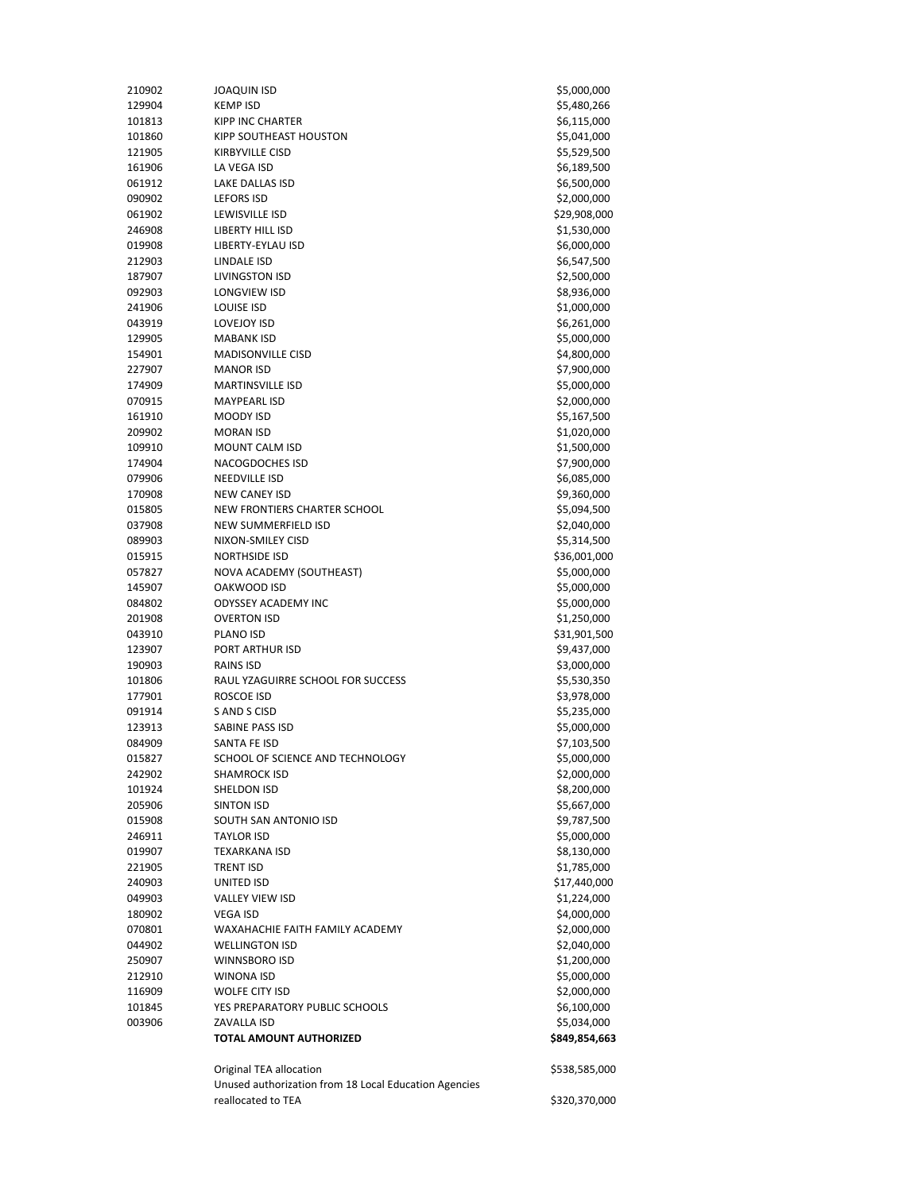| 210902 | JOAQUIN ISD                                           | \$5,000,000   |
|--------|-------------------------------------------------------|---------------|
| 129904 | <b>KEMP ISD</b>                                       | \$5,480,266   |
| 101813 | <b>KIPP INC CHARTER</b>                               | \$6,115,000   |
| 101860 | <b>KIPP SOUTHEAST HOUSTON</b>                         | \$5,041,000   |
| 121905 | KIRBYVILLE CISD                                       | \$5,529,500   |
| 161906 | LA VEGA ISD                                           | \$6,189,500   |
| 061912 | LAKE DALLAS ISD                                       | \$6,500,000   |
| 090902 | <b>LEFORS ISD</b>                                     | \$2,000,000   |
| 061902 | LEWISVILLE ISD                                        | \$29,908,000  |
| 246908 | LIBERTY HILL ISD                                      | \$1,530,000   |
| 019908 | LIBERTY-EYLAU ISD                                     | \$6,000,000   |
| 212903 | LINDALE ISD                                           | \$6,547,500   |
| 187907 | <b>LIVINGSTON ISD</b>                                 | \$2,500,000   |
| 092903 | LONGVIEW ISD                                          | \$8,936,000   |
| 241906 | LOUISE ISD                                            | \$1,000,000   |
| 043919 | LOVEJOY ISD                                           | \$6,261,000   |
| 129905 | <b>MABANK ISD</b>                                     | \$5,000,000   |
| 154901 | <b>MADISONVILLE CISD</b>                              | \$4,800,000   |
| 227907 | <b>MANOR ISD</b>                                      | \$7,900,000   |
| 174909 | <b>MARTINSVILLE ISD</b>                               | \$5,000,000   |
| 070915 | <b>MAYPEARL ISD</b>                                   | \$2,000,000   |
| 161910 | MOODY ISD                                             | \$5,167,500   |
| 209902 | <b>MORAN ISD</b>                                      | \$1,020,000   |
| 109910 | MOUNT CALM ISD                                        | \$1,500,000   |
| 174904 | NACOGDOCHES ISD                                       | \$7,900,000   |
| 079906 | <b>NEEDVILLE ISD</b>                                  | \$6,085,000   |
| 170908 | <b>NEW CANEY ISD</b>                                  | \$9,360,000   |
| 015805 | NEW FRONTIERS CHARTER SCHOOL                          | \$5,094,500   |
| 037908 | NEW SUMMERFIELD ISD                                   | \$2,040,000   |
| 089903 | NIXON-SMILEY CISD                                     | \$5,314,500   |
| 015915 | <b>NORTHSIDE ISD</b>                                  | \$36,001,000  |
| 057827 | NOVA ACADEMY (SOUTHEAST)                              | \$5,000,000   |
| 145907 | OAKWOOD ISD                                           | \$5,000,000   |
| 084802 | <b>ODYSSEY ACADEMY INC</b>                            | \$5,000,000   |
| 201908 | <b>OVERTON ISD</b>                                    | \$1,250,000   |
| 043910 | PLANO ISD                                             | \$31,901,500  |
| 123907 | PORT ARTHUR ISD                                       | \$9,437,000   |
| 190903 | <b>RAINS ISD</b>                                      | \$3,000,000   |
| 101806 | RAUL YZAGUIRRE SCHOOL FOR SUCCESS                     | \$5,530,350   |
| 177901 | ROSCOE ISD                                            | \$3,978,000   |
| 091914 | S AND S CISD                                          | \$5,235,000   |
| 123913 | SABINE PASS ISD                                       | \$5,000,000   |
| 084909 | SANTA FE ISD                                          | \$7,103,500   |
| 015827 | SCHOOL OF SCIENCE AND TECHNOLOGY                      | \$5,000,000   |
| 242902 | <b>SHAMROCK ISD</b>                                   | \$2,000,000   |
| 101924 | SHELDON ISD                                           | \$8,200,000   |
| 205906 | <b>SINTON ISD</b>                                     | \$5,667,000   |
| 015908 | SOUTH SAN ANTONIO ISD                                 | \$9,787,500   |
| 246911 | <b>TAYLOR ISD</b>                                     | \$5,000,000   |
| 019907 | <b>TEXARKANA ISD</b>                                  | \$8,130,000   |
| 221905 | TRENT ISD                                             | \$1,785,000   |
| 240903 | UNITED ISD                                            | \$17,440,000  |
| 049903 | <b>VALLEY VIEW ISD</b>                                | \$1,224,000   |
| 180902 | <b>VEGA ISD</b>                                       | \$4,000,000   |
| 070801 | WAXAHACHIE FAITH FAMILY ACADEMY                       | \$2,000,000   |
| 044902 | <b>WELLINGTON ISD</b>                                 | \$2,040,000   |
| 250907 | WINNSBORO ISD                                         | \$1,200,000   |
| 212910 | <b>WINONA ISD</b>                                     | \$5,000,000   |
| 116909 | WOLFE CITY ISD                                        | \$2,000,000   |
| 101845 | YES PREPARATORY PUBLIC SCHOOLS                        | \$6,100,000   |
| 003906 | ZAVALLA ISD                                           | \$5,034,000   |
|        | TOTAL AMOUNT AUTHORIZED                               | \$849,854,663 |
|        |                                                       |               |
|        | Original TEA allocation                               | \$538,585,000 |
|        | Unused authorization from 18 Local Education Agencies |               |
|        | reallocated to TEA                                    | \$320,370,000 |
|        |                                                       |               |